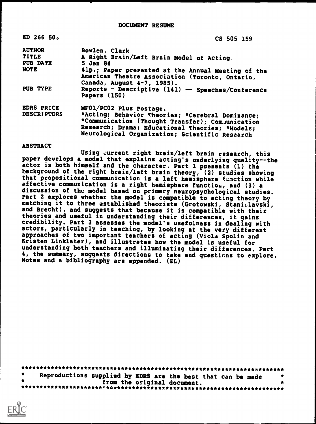| $ED$ 266 50.       | CS 505 159                                                                                                                                                                                                |
|--------------------|-----------------------------------------------------------------------------------------------------------------------------------------------------------------------------------------------------------|
| <b>AUTHOR</b>      | Bowlen, Clark                                                                                                                                                                                             |
| <b>TITLE</b>       | A Right Brain/Left Brain Model of Acting.                                                                                                                                                                 |
| <b>PUB DATE</b>    | 5 Jan 84                                                                                                                                                                                                  |
| <b>NOTE</b>        | 41p.; Paper presented at the Annual Meeting of the<br>American Theatre Association (Toronto, Ontario,<br>Canada, August 4-7, 1985).                                                                       |
| PUB TYPE           | Reports - Descriptive (141) -- Speeches/Conference<br>Papers (150)                                                                                                                                        |
| EDRS PRICE         | MF01/PC02 Plus Postage.                                                                                                                                                                                   |
| <b>DESCRIPTORS</b> | *Acting; Behavior Theories; *Cerebral Dominance;<br>*Communication (Thought Transfer); Communication<br>Research; Drama; Educational Theories; *Models;<br>Neurological Organization; Scientific Research |

## ABSTRACT

Using zurrent right brain/left brain research, this paper develops a model that explains acting's underlying quality--the actor is both himself and the character. Part 1 presents (1) the background of the right brain/left brain theory, (2) studies showing that propositional communication is a left hemisphere function while affective communication is a right hemisphere function, and (3) a discussion of the model based on primary neuropsychological studies. Part 2 explores whether the model is compatible to acting theory by matching it to three established theorists (Grotowski, Stani.layski, and Brecht), and suggests that because it is compatible with their theories and useful in understanding their differences, it gains credibility. Part 3 assesses the model's usefulness in dealing with actors, particularly in teaching, by looking at the very different approaches of two important teachers of acting (Viola Spolin and Kristen Linklater), and illustrates how the model is useful for understanding both teachers and illuminating their differences. Part 4, the summary, suggests directions to take and questions to explore. Notes and a bibliography are appended. (EL)

| Reproductions supplied by EDRS are the best that can be made |  |  |  |
|--------------------------------------------------------------|--|--|--|
| from the original document.                                  |  |  |  |
|                                                              |  |  |  |

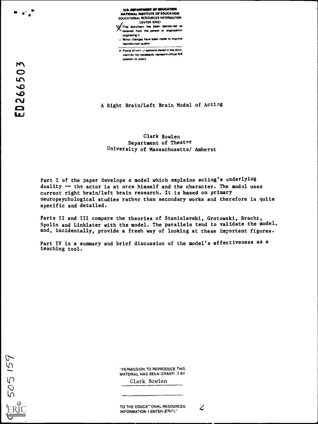U.S. DEPARTMENT OF EDUCATION NATIONAL INSTITUTE OF EDUCATION EDUCATIONAL RESOURCES INFORMATION CENTER (ERIC) )(This document his been reprodubsd es received from the person or organization

onginating it 1.1 Minor changes hove been mode to improve reproduction quaky

 $\bullet$  Points of view ur opinions stated in this document do not necessarily represent official NIE position or policy

A Right Brain/Left Brain Model of Actiag

# Clark Bowlen Department of Theater University of Massachusetts/ Amherst

Part I of the paper develops a model which explains acting's underlying duality -- the actor is at orce himself and the character. The model uses current right brain/left brain research. It is based on primary neuropsychological studies rather than secondary works and therefore is quite specific and detailed.

Parts II and III compare the theories of Stanislavski, Grotowski, Brecht, Spolin and Linklater with the model. The parallels tend to validate the model, and, incidentally, provide a fresh way of looking at these important figures.

Part IV is a summary and brief discussion of the model's effectiveness as a teaching tool.

505 159

"PERMISSION TO REPRODUCE THIS MATERIAL HAS BEEN GRANT! J BY

Clark Bowlen

TO THE EDUCATIONAL RESOURCES  $\overrightarrow{C}$ INFORMATION GENTER (ERIC)."

 $\mathbf{F}$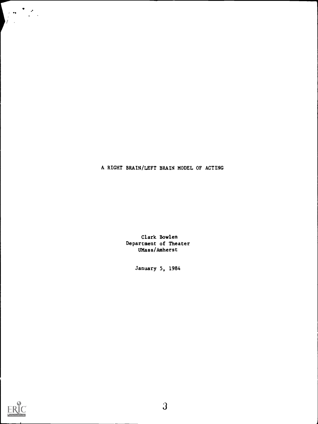A RIGHT BRAIN/LEFT BRAIN MODEL OF ACTING

Clark Bowlen Department of Theater UMass/Amherst

January 5, 1984



I 1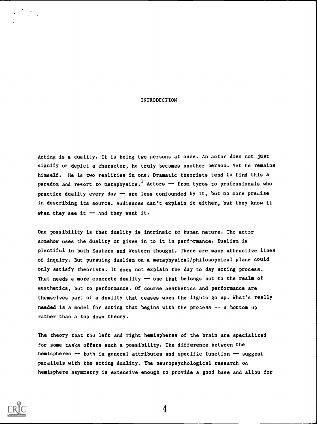#### INTRODUCTION

Acting is a duality. It is being two persons at once. An actor does not just signify or depict a character, he truly becomes another person. Yet he remains himself. He is two realities in one. Dramatic theorists tend to find this a paradox and resort to metaphysics. Actors -- from tyros to professionals who practice duality every day -- are less confounded by it, but no more precise in describing its source. Audiences can't explain it either, but they know it when they see it  $-$  and they want it.

One possibility is that duality is intrinsic tc human nature. The actor somehow uses the duality or gives in to it in performance. Dualism is plentiful in both Eastern and Western thought. There are many attractive lines of inquiry. But pursuing dualism on a metaphysical/philosophical plane could only satisfy theorists. It does not explain the day to day acting process. That needs a more concrete duality  $\rightarrow$  one that belongs not to the realm of aesthetics, but to performance. Of course aesthetics and performance are themselves part of a duality that ceases when the lights go up. What's really needed is a model for acting that begins with the process -- a bottom up rather than a top down theory.

The theory that the left and right hemispheres of the brain are specialized for some tasks offers such a possibility. The difference between the hemispheres -- both in general attributes and specific function -- suggest parallels with the acting duality. The neuropsychological research on hemisphere asymmetry is extensive enough to provide a good base and allow for

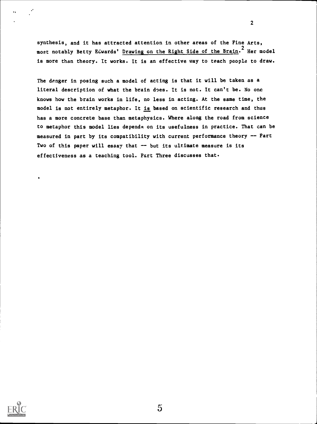synthesis, and it has attracted attention in other areas of the Fine Arts, most notably Betty Edwards' Drawing on the Right Side of the Brain.<sup>2</sup> Her model is more than theory. It works. It is an effective way to teach people to draw.

2

The danger in posing such a model of acting is that it will be taken as a literal description of what the brain does. It is not. It can't be. No one knows how the brain works in life, no less in acting. At the same time, the model is not entirely metaphor. It is based on scientific research and thus has a more concrete base than metaphysics. Where along the road from science to metaphor this model lies depends on its usefulness in practice. That can be measured in part by its compatibility with current performance theory -- Part Two of this paper will essay that -- but its ultimate measure is its effectiveness as a teaching tool. Part Three discusses that.

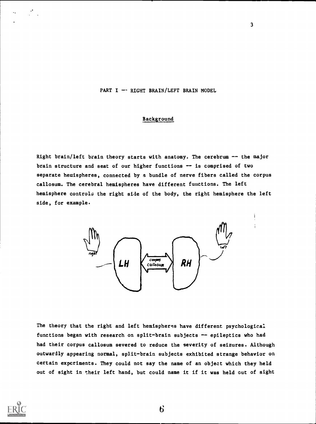## PART I  $-$  RIGHT BRAIN/LEFT BRAIN MODEL

# Background

Right brain/left brain theory starts with anatomy. The cerebrum -- the major brain structure and seat of our higher functions  $-$  is comprised of two separate hemispheres, connected by a bundle of nerve fibers called the corpus callosum. The cerebral hemispheres have different fuuctions. The left hemisphere controls the right side of the body, the right hemisphere the left side, for example.



The theory that the right and left hemispheres have different psychological functions began with research on split-brain subjects -- epileptics who had had their corpus callosum severed to reduce the severity of seizures. Although outwardly appearing normal, split-brain subjects exhibited strange behavior on certain experiments. They could not say the name of an object which they held out of sight in their left hand, but could name it if it was held cut of sight

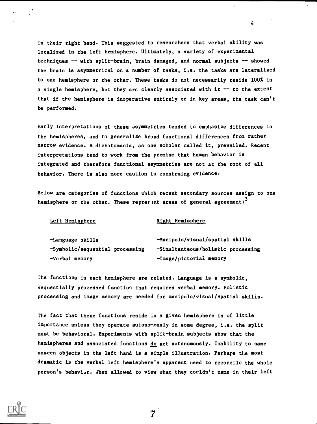in their right hand. This suggested to researchers that verbal ability was localized in the left hemisphere. Ultimately, a variety of experimental techniques -- with split-brain, brain damaged, and normal subjects -- showed the brain is asymmetrical on a number of tasks, i.e. the tasks are lateralized to one hemisphere or the other. These tasks do not necessarily reside 100% in a single hemisphere, but they are clearly associated with it  $-$  to the extent that if the hemisphere is inoperative entirely or in key areas, the task can't be performed.

Early interpretations of these asymmetries tended to emphasize differences in the hemispheres, and to generalize broad functional differences from rather narrow evidence. A dichotomania, as one scholar called it, prevailed. Recent interpretations tend to work from the premise that human behavior is integrated and therefore functional asymmetries are not at the root of all behavior. There is also more caution in construing evidence.

Below are categories of functions which recent secondary sources assign to one hemisphere or the other. These reprefent areas of general agreement:  $3$ 

#### Left Hemisphere Right Hemisphere

| -Language skills                | -Manipulo/visual/spatial skills    |
|---------------------------------|------------------------------------|
| -Symbolic/sequential processing | -Simultanteous/holistic processing |
| -Verbal memory                  | -Image/pictorial memory            |

The functions in each hemisphere are related. Language is a symbolic, sequentially processed function that requires verbal memory. Holistic processing and image memory are needed for manipulo/visual/spatial skills.

The fact that these functions reside in a given hemisphere is of little importance unless they operate autonomously in some degree, i.e. the split must be behavioral. Experiments with split-brain subjects show that the hemispheres and associated functions do act autonomously. Inability to name unseen objects in the left hand is a simple illustration. Perhaps the most dramatic is the verbal left hemisphere's apparent need to reconcile the whole person's behavior. Then allowed to view what they corldn't name in their left

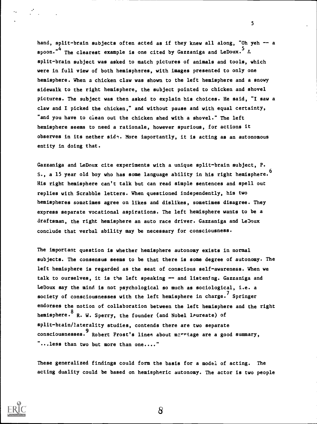hand, split-brain subjects often acted as if they knew all along, "Oh yeh -- a spoon."<sup>4</sup> The clearest example is one cited by Gazzaniga and LeDoux.<sup>5</sup> A split-brain subject was asked to match pictures of animals and tools, which were in full view of both hemispheres, with images presented to only one hemisphere. When a chicken claw was shown to the left hemisphere and a snowy sidewalk to the right hemisphere, the subject pointed to chicken and shovel pictures. The subject was then asked to explain his choices. He said, "I saw a claw and I picked the chicken," and without pause and with equal certainty, "and you have to clean out the chicken shed with a shovel." The left hemisphere seems to need a rationale, however spurious, for actions it observes in its nether  $sid$ . More importantly, it is acting as an autonomous entity in doing that.

Gazzaniga and LeDoux cite experiments with a unique split-brain subject, P. S., a 15 year old boy who has some language ability in his right hemisphere.<sup>0</sup> His right hemisphere can't talk but can read simple sentences and spell out replies with Scrabble letters. When questioned independently, his two hemispheres sometimes agree on likes and dislikes, sometimes disagree. They express separate vocational aspirations. The left hemisphere wants to be a draftsman, the right hemisphere an auto race driver. Gazzaniga and LeDoux conclude that verbal ability may be necessary for consciousness. 6

The important question is whether hemisphere autonomy exists in normal subjects. The consensus seems to be that there is some degree of autonomy. The left hemisphere is regarded as the seat of conscious self-awareness. When we talk to ourselves, it is the left speaking  $-$  and listening. Gazzaniga and LeDoux say the mind is not psychological so much as sociological, i.e. a society of consciousnesses with the left hemisphere in charge.<sup>'</sup> Springer endorses the notion of collaboration between the left hemisphere and the right hemisphere.<sup>8</sup> R. W. Sperry, the founder (and Nobel laureate) of split-brain/laterality studies, contends there are two separate consciousnesses. 9<br>consciousnesses. Robert Frost's lines about merriage are a good summary, "...less than two but more than one...."

These generalized findings could form the basis for a model of acting. The acting duality could be based on hemispheric autonomy. The actor is two people

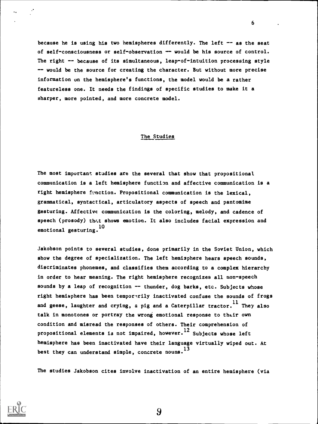because he is using his two hemispheres differently. The left  $-$  as the seat of self-consciousness or self-observation -- would be his source of control. The right -- because of its simultaneous, leap-of-intuition processing style -- would be the source for creating the character. But without more precise information on the hemisphere's functions, the model would be a rather featureless one. It needs the findings of specific studies to make it a sharper, more pointed, and more concrete model.

6

#### The Studies

The most important studies are the several that show that propositional communication is a left hemisphere function and affective communication is a right hemisphere function. Propositional communication is the lexical, grammatical, syntactical, articulatory aspects of speech and pantomime gesturing. Affective communication is the coloring, melody, and cadence of speech (prosody) that shows emotion. It also includes facial expression and emotional gesturing. 10

Jakobson points to several studies, done primarily in the Soviet Union, which show the degree of specialization. The left hemisphere hears speech sounds, discriminates phonemes, and classifies them according to a complex hierarchy in order to hear meaning. The right hemisphere recognizes all uon-speech sounds by a leap of recognition -- thunder, dog barks, etc. Subjects whose right hemisphere has been temporarily inactivated confuse the sounds of frogs and geese, laughter and crying, a pig and a Caterpillar tractor.  $^{\rm 11}$  They also talk in monotones or portray the wrong emotional response to their own condition and misread the responses of others. Their comprehension of propositional elements is not impaired, however. $^{12}$  Subjects whose left hemisphere has been inactivated have their language virtually wiped out. At best they can understand simple, concrete nouns. $^{13}$ 

The studies Jakobson cites involve inactivation of an entire hemisphere (via

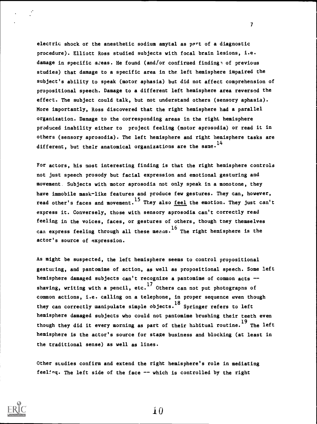electric shock or the anesthetic sodium amytal as pert of a diagnostic procedure). Elliott Ross studied subjects with focal brain lesions, i.e. damage in specific areas. He found (and/or confirmed findings of previous studies) that damage to a specific area in the left hemisphere impaired the subject's ability to speak (motor aphasia) but did not affect comprehension of propositional speech. Damage to a different left hemisphere area reversed the effect. The subject could talk, but not understand others (sensory aphasia). More importantly, Ross discovered that the right hemisphere had a parallel organization. Damage to the corresponding areas in the right hemisphere produced inability either to project feeling (motor aprosodia) or read it in others (sensory aprosodia). The left hemisphere and right hemisphere tasks are different, but their anatomical organizations are the same.<sup>14</sup>

7

For actors, his most interesting finding is that the right hemisphere controls not just speech prosody but facial expression and emotional gesturing and movement. Subjects with motor aprosodia not only speak in a monotone, they have immobile mask-like features and produce few gestures. They can, however, read other's faces and movement.<sup>15</sup> They also <u>feel</u> the emotion. They just can't express it. Conversely, those with sensory aprosodia can't correctly read feeling in the voices, faces, or gestures of others, though tney themselves can express feeling through all these means.<sup>16</sup> The right hemisphere is the actor's source of expression.

As might be suspected, the left hemisphere seems to control propositional gesturing, and pantomime of action, as well as propositional speech. Some left hemisphere damaged subjects can't recognize a pantomime of common acts -shaving, writing with a pencil, etc.<sup>1/</sup> Others can not put photograpns of common actions, i.e. calling on a telephone, in proper sequence even though they can correctly manipulate simple objects. <sup>18</sup> Springer refers to left hemisphere damaged subjects who could not pantomime brushing their teeth even though they did it every morning as part of their habitual routine.<sup>19</sup> The left hemisphere is the actor's source for stage business and blocking (at least in the traditional sense) as well as lines.

Other studies confirm and extend the right hemisphere's role in mediating feeling. The left side of the face -- which is controlled by the right

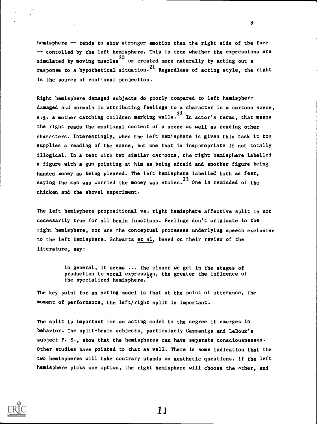hemisphere -- tends to show stronger emotion than the right side of the face -- contolled by the left hemisphere. This is true whether the expressions are simulated by moving muscles $^{20}$  or created more naturally by acting out a response to a hypothetical situation.<sup>21</sup> Regardless of acting style, the right is the source of emotional projection.

Right hemisphere damaged subjects do poorly compared to left hemisphere damaged ami normals in attributing feelings to a character in a cartoon scene, e.g. a mother catching children marking walls.<sup>22</sup> In actor's terms, that means the right reads the emotional content of a scene as well as reading other characters. Interestingly, when the left hemisphere is given this task it too supplies a reading of the scene, but one that is inappropriate if not totally illogical. In a test with two similar car:oons, the right hemisphere labelled a figure with a gun pointing at him as being afraid and another figure being handed money as being pleased. The left hemisphere labelled both as fear, saying the man was worried the money was stolen.<sup>23</sup> One is reminded of the chicken and the shovel experiment.

The left hemisphere propositional vs. right hemisphere affective split is not necessarily true for all brain functions. Feelings don't originate in the right hemisphere, nor are the conceptual processes underlying speech exclusive to the left hemisphere. Schwartz et al, based on their review of the literature, say:

> In general, it seems ... the closer we get in the stages of production to vocal expressiou, the greater the influence of the specialized hemisphere.

The key point for an acting model is that at the point of utterance, the moment of performance, the left/right split is important.

The split is important for an acting model to the degree it emerges in behavior. The split-brain subjects, particularly Gazzaniga and LeDoux's subject P. S., show that the hemispheres can have separate consciousnesses. Other studies have pointed to that as well. There is some indication that the two hemispheres will take contrary stands on aesthetic questions. If the left hemisphere picks one option, the right hemisphere will choose the other, and



11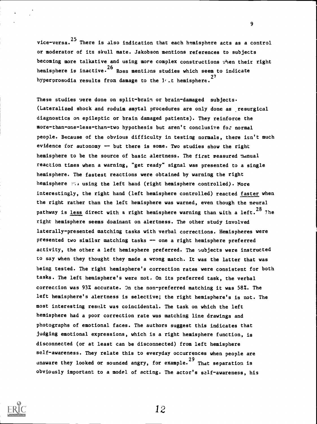vice-versa. <sup>25</sup> There is also indication that each hemisphere acts as a control or moderator of its skull mate. Jakobson mentions references to subjects becoming more talkative and using more complex constructions :'hen their right hemisphere is inactive.<sup>26</sup> Ross mentions studies which seem to indicate hyperprosodia results from damage to the  $1/$  t hemisphere.<sup>27</sup>

These studies were done on split-brain or brain-damaged subjects. (Lateralized shock and eoduim amytal procedures are only done as resurgical diagnostics on epileptic or brain damaged patients). They reinforce the more-than-one-less-than-two hypothesis but aren't conclusive for normal people. Because of the obvious difficulty in testing normals, there isn't much evidence for autonomy  $-$  but there is some. Two studies show the right hemisphere to be the source of basic alertness. The first measured manual reaction times when a warning, "get ready" signal was presented to a single hemisphere. The fastest reactions were obtained by warning the right hemisphere using the left hand (right hemisphere controlled). More interestingly, the right hand (left hemisphere controlled) reacted faster when the right rather than the left hemisphere was warned, even though the neural pathway is <u>less</u> direct with a right hemisphere warning than with a left.<sup>28</sup> 7he right hemisphere seems dominant on alertness. The other study involved laterally-presented matching tasks with verbal corrections. Hemispheres were presented two similar matching tasks -- one a right hemisphere preferred activity, the other a left hemisphere preferred. The subjects were instructed to say when they thought they made a wrong match. It was the latter that was being tested. The right hemisphere's correction rates were consistent for both tasks. The left hemisphere's were not. On its preferred task, the verbal correction was 93% accurate. On the non-preferred matching it was 58%. The left hemisphere's alertness is selective; the right hemisphere's is not. The most interesting result was coincidental. The task on which the left hemisphere had a poor correction rate was matching line drawings and photographs of emotional faces. The authors suggest this indicates that judging emotional expressions, which is a right hemisphere function, is disconnected (or at least can be disconnected) from left hemisphere self-awareness. They relate this to everyday occurrences when people are unaware they looked or sounded angry, for example.  $^{29}$  That separation is obviously important to a model of acting. The actor's self-awareness, his



12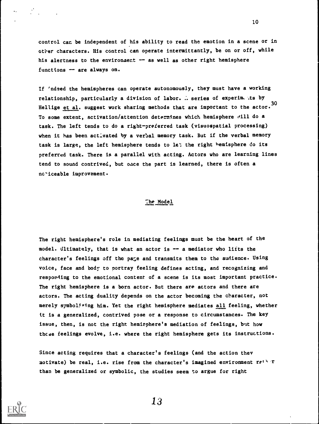control can be independent of his ability to read the emotion in a scene or in other characters. His control can operate intermittantly, be on or off, while his alertness to the environment -- as well as other right hemisphere functions -- are always on.

If 'ndeed the hemispheres can operate autonomously, they must have a working relationship, particularly a division of labor.  $\therefore$  series of experim, its by Hellige et al. suggest work sharing methods that are important to the actor. 30 To some extent, activation/attention determines which hemisphere will do a task. The left tends to do a right-preferred task (visuospatial processing) when it has been activated by a verbal memory task. But if the verbal memory task is large, the left hemisphere tends to le: the right hemisphere do its preferred task. There is a parallel with acting. Actors who are learning lines tend to sound contrived, but once the part is learned, there is often a no-iceable improvement.

### :he Model

The right hemisphere's role in mediating feelings must be the heart of the model. Ultimately, that is what an actor is -- a mediator who lifts the character's feelings off the pace and transmits them to the audience. Using voice, face and body to portray feeling defines acting, and recognizing and responding to the emotional content of a scene is its most important practice. The right hemisphere is a born actor. But there are actors and there are actors. The acting duality depends on the actor becoming the character, not merely symbolizing him. Yet the right hemisphere mediates all feeling, whether it is a generalized, contrived pose or a response to circumstances. The key issue, then, is not the right hemisphere's mediation of feelings, but how thcse feelings evolve, i.e. where the right hemisphere gets its instructions.

Since acting requires that a character's feelings (and the action they motivate) be real, i.e. rise from the character's imagined environment rether than be generalized or symbolic, the studies seem to argue for right



13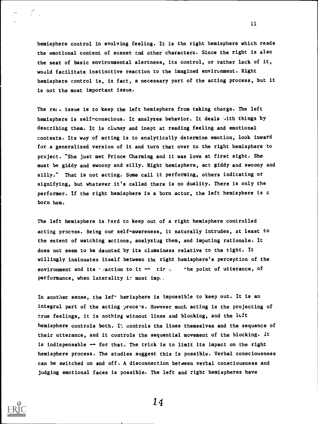hemisphere control in evolving feeling. It is the right hemisphere which reads the emotional content of scenes end other characters. Since the right is also the seat of basic environmental alertness, its control, or rather lack of it, would facilitate instinctive reaction to the imagined environment. Right hemisphere control is, in fact, a necessary part of the acting process, but it is not the most important issue.

The re $\epsilon$  issue is to keep the left hemisphere from taking charge. The left hemisphere is self-conscious. It analyzes behavior. It deals '4ith things by describing them. It is clumsy and inept at reading feeling and emotional contexts. Its way of acting is to analytically determine emotion, look inward for a generalized version of it and turn that over to the right hemisphere to project. "She just met Prince Charming and it was love at first sight. She must be giddy and swoony and silly. Right hemisphere, act giddy and swoony and silly." That is not acting. Some call it performing, others indicating or signifying, but whatever it's called there is no duality. There is only the performer. If the right hemisphere is a born actor, the left hemisphere is a born ham.

The left hemisphere is rard to keep out of a right hemisphere controlled acting process. Being our self-awareness, it naturally intrudes, at least to the extent of watching actions, analyzing them, and imputing rationale. It does not seem to be daunted by its clumsiness relative to the tight. It willingly insinuates itself between the right hemisphere's perception of the environment and its  $\cdot$  action to it -- rip  $\cdot$  -he point of utterance, of performance, when laterality is most imp...

In another sense, the lef<sup>-</sup> hemisphere is impossible to keep out. It is an integral part of the acting process. However much acting is the projecting of true feelings, it is nothing witnout lines and blocking, and the left hemisphere controls both. It controls the lines themselves and the sequence of their utterance, and it controls the sequential movement of the blocking. it is indispensable -- for that. The trick is to limit its impact on the right hemisphere process. The studies suggest this is possible. Verbal consciousness can be switched on and off. A disconnection between verbal consciousness and judging emotional faces is possible. The left and right hemispheres have



14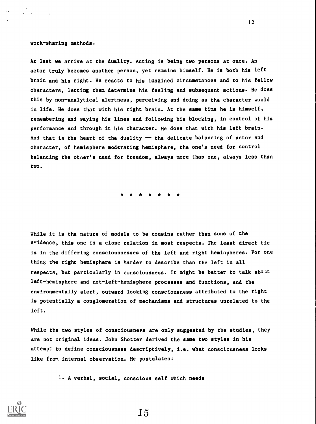work-sharing methods.

At last we arrive at the duality. Acting is being two persons at once. An actor truly becomes another person, yet remains himself. He is both his left brain and his right. He reacts to his imagined circumstances and to his fellow characters, letting them determine his feeling and subsequent actions. He does this by non-analytical alertness, perceiving and doing as the character would in life. He does that with his right brain. At the same time he is himself, remembering and saying his lines and following his blocking, in control of his performance and through it his character. He does that with his left brain. And that is the heart of the duality  $-$  the delicate balancing of actor and character, of hemisphere moderating hemisphere, the one's need for control balancing the otaer's need for freedom, always more than one, always less than two.

While it is the nature of models to be cousins rather than sons of the evidence, this one is a close relation in most respects. The least direct tie is in the differing consciousnesses of the left and right hemispheres. For one thing the right hemisphere is harder to describe than the left in all respects, but particularly in consciousness. It might be better to talk about left-hemisphere and not-left-hemisphere processes and functions, and the environmentally alert, outward looking consciousness attributed to the right is potentially a conglomeration of mechanisms and structures unrelated to the left.

While the two styles of consciousness are only suggested by the studies, they are not original ideas. John Shotter derived the same two styles in his attempt to define consciousness descriptively, i.e. what consciousness looks like from internal observation. He postulates:

1. A verbal, social, conscious self which needs



12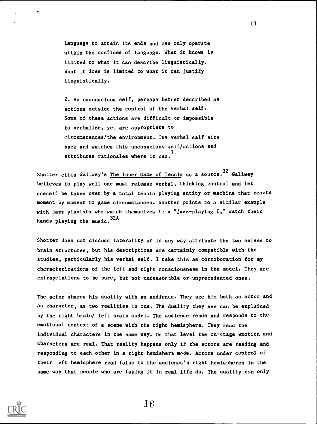language to attain its ends and can only operate within the confines of language. What it knows is limited to what it can describe linguistically. What it Joes is limited to what it can justify linguistically.

2. An unconscious self, perhaps better described as actions outside the control of the verbal self. Some of these actions are difficult or impossible to verbalize, yet are appropriate to circumstances/the environment. The verbal self sits back and watches this unconscious aelf/actions and attributes rationales where it can. 31

Shotter cites Gallwey's The Inner Game of Tennis as a source.<sup>32</sup> Gallwey believes to play well one must release verbal, thinking control and let oneself be taken over by a total tennis playing entity or machine that reacts moment by moment to game circumstances. Shotter points to a similar example with jazz pianists who watch themselves  $\dagger$ : a "jazz-playing I," watch their hands playing the music. 32A

Shotter does not discuss laterality or in any way attribute the two selves to brain structures, but his descriptions are certainly compatible with the studies, particularly his verbal self. I take this as corroboration for my characterizations of the left and right consciousness in the model. They are extrapolations to be sure, but not unreasonable or unprecedented ones.

The actor shares his duality with an audience. They see him both as actor and as character, as two realities in one. The duality they see can be explained by the right brain/ left brain model. The audience reads and responds to the emotional context of a scene with the right hemisphere. They read the individual characters in the same way. On that level the on-stage emotion and characters are real. That reality happens only if the actors are reading and responding to each other in a right hemishere mode. Actors under control of their left hemisphere read false to the audience's right hemispheres in the same way that people who are faking it in real life do. The duality can only



16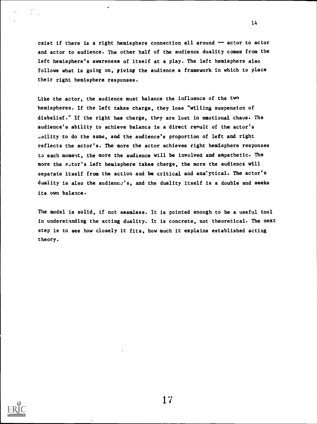exist if there is a right hemisphere connection all around  $-$  actor to actor and actor to audience. The other half of the audience duality comes from the left hemisphere's awareness of itself at a play. The left hemisphere also follows what is going on, giving the audience a framework in which to place their right hemisphere responses.

Like the actor, the audience must balance the influence of the two hemispheres. If the left takes charge, they lose "willing suspension of disbelief." If the right has charge, they are lost in emotional chaus. The audience's ability to achieve balance is a direct result of the actor's to do the same, and the audience's proportion of left and right reflects the actor's. The more the actor achieves right hemisphere responses to each moment, the more the audience will be involved and empathetic. The more the actor's left hemisphere takes charge, the more the audience will separate itself from the action and be critical and ana'ytical. The actor's duality is also the audience's, and the duality itself is a double and seeks its own balance.

The model is solid, if not seamless. It is pointed enough to be a useful tool in understanding the acting duality. It is concrete, not theoretical. The next step is to see how closely it fits, how much it explains established acting theory.



17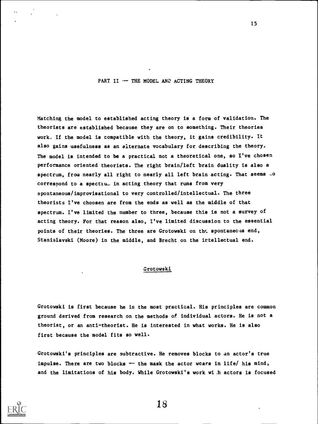PART II -- THE MODEL AND ACTING THEORY

Matching the model to established acting theory is a form of validation. The theorists are established because they are on to something. Their theories work. If the model is compatible with the theory, it gains credibility. It also gains usefulness as an alternate vocabulary for describing the theory. The model is intended to be a practical not a theoretical one, so I've chosen performance oriented theorists. The right brain/left brain duality is also a spectrum, from nearly all right to nearly all left brain acting. That seems .0 correspond to a spectiu. in acting theory that runs from very spontaneous/improvisational to very controlled/intellectual. The three theorists I've choosen are from the ends as well as the middle of that spectrum. I've limited the number to three, because this is not a survey of acting theory. For that reason also, I've limited discussion to the essential points of their theories. The three are Grotowski on the spontaneeus end, Stanislayski (Moore) in the middle, and Brecht on the irtellectual end.

## Grotowski

Grotowski is first because he is the most practical. His principles are common ground derived from research on the methods of individual actors. He is not a theorist, or an anti-theorist. He is interested in what works. He is also first because the model fits so well.

Grotowski's principles are subtractive. He removes blocks to an actor's true impulse. There are two blocks -" the mask the actor wears in life/ his mind, and the limitations of his body. While Grotowski's work wi h actors is focused



18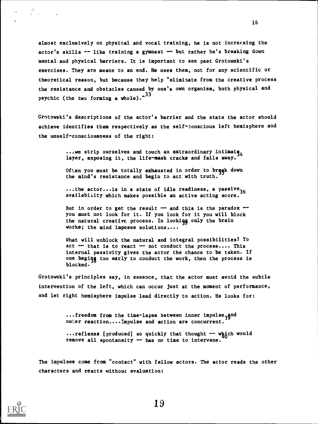almost exclusively on physical and vocal training, he is not increr.sing the actor's skills -- like training a gymnast -- but rather he's breaking down mental and physical barriers. It is important to see past Grotowski's exercises. They are means to an end. He uses them, not for any scientific or theoretical reason, but because they help "eliminate from the creative process the resistance and obstacles caused by one's own organism, both physical and psychic (the two forming a whole).<sup>"33</sup>

Grotowski's descriptions of the actor's barrier and the state the actor should achieve identifies them respectively as the self-conscious left hemisphere and the unself-consciousness of the right:

> ...we strip ourselves and touch an extraordinary intimated layer, exposing it, the life-mask cracks and falls away.

> Often you must be totally exhausted in order to break down the mind's resistance and begin to act with truth.

...the actor... is in a state of idle readiness, a passive<sub>36</sub> availability which makes possible an active acting score.

But in order to get the result  $-$  and this is the paradox  $$ you must not look for it. If you look for it you will block the natural creative process. In looking only the brain works; the mind imposes solutions....

What will unblock the natural and integral possibilities? To act  $-$  that is to react  $-$  not conduct the process.... This internal passivity gives the actor the chance to be taken. If one beging too early to conduct the work, then the process is blocked.

Grotowski's principles say, in essence, that the actor must avoid the subtle intervention of the left, which can occur just at the moment of performance, and let right hemisphere impulse lead directly to action. He looks for:

> $\ldots$ freedom from the time-lapse between inner impulse, and ou%er reaction....Impulse and action are concurrent.

 $...$ reflexes [produced] so quickly that thought  $--$  which would remove all spontaneity  $-$  has no time to intervene.

The impulses come from "contact" with fellow actors. The actor reads the other characters and reacts without evaluation:



 $\mathbb{R}^N$  .

 $\ddotsc$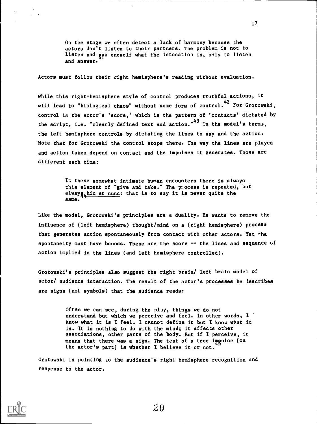On the stage we often detect a lack of harmony because the actors dnn't listen to their partners. The problem is not to listen and ask oneself what the intonation is, only to listen and answer.

17

Actors must follow their right hemisphere's reading without evaluation.

While this right-hemisphere style of control produces truthful actions, it will lead to "biological chaos" without some form of control.<sup>42</sup> For Grotowski, control is the actor's 'score,' which is the pattern of 'contacts' dictated by the script, i.e. "clearly defined text and action."<sup>43</sup> In the model's term3, the left hemisphere controls by dictating the lines to say and the action. Note that for Grotowski the control stops there. The way the lines are played and action taken depend on contact and the impulses it generates. Those are different each time:

> In these somewhat intimate human encounters there is always this element of "give and take." The pi.ocess is repeated, but alway<sub>2</sub> hic et nunc: that is to say it is never quite the same.

Like the model, Grotowski's principles are a duality. He wants to remove the influence of (left hemisphere) thought/mind on a (right hemisphere) process that generates action spontaneously from contact with other actors. Yet the spontaneity must have bounds. These are the score  $-$  the lines and sequence of action implied in the lines (and left hemisphere controlled).

Grotowski's principles also suggest the right brain/ left brain model of actor/ audience interaction. The result of the actor's processes he describes are signs (not symbols) that the audience reads:

> Often we can see, during the play, things we do not understand but which we perceive and feel. In other words, I know what it is I feel. I cannot define it but I know what it is. It is nothing to do with the mind; it affects other associations, other parts of the body. But if I perceive, it means that there was a sign. The test of a true impulse [on the actor's part] is whether I believe it or not.

Grotowski is pointing Lo the audience's right hemisphere recognition and response to the actor.



 $\mathbf{r}$  .

 $\mathbf{A}$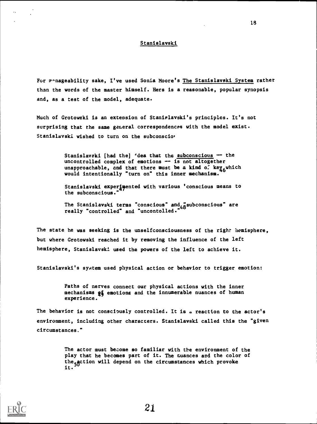### Stanislayski

For manageability sake, I've used Sonia Moore's The Stanislavski System rather than the words of the master himself. Hers is a reasonable, popular synopsis and, as a test of the model, adequate.

Much of Grotowski is an extension of Stanialayski's principles. It's not surprising that the same general correspondences with the model exist. Stanislayski wished to turn on the subconscio'

> Stanislavski [had the] 'dea that the subconscious  $-$  the uncontrolled complex of emotions  $-$  is not altogether unapproachable, and that there must be a kind of key which would intentionally "turn on" this inner mechanism.

> Stanislavski experimented with various 'conscious means to the subconscious."

The Stanislavski terms "conscious" and  $\alpha$  subconscious" are really "controlled" and "uncontolled."

The state he was seeking is the unselfconsciousness of the right hemisphere, but where Grotowski reached it by removing the influence of the left hemisphere, Stanislayski used the powers of the left to achieve it.

Stanislayski's system used physical action or behavior to trigger emotion:

Paths of nerves connect our physical actions with the inner mechanisms g& emotions and the innumerable nuances of human experience.

The behavior is not consciously controlled. It is a reaction to the actor's environment, including other characters. Stanislayski called this the "given circumstances."

> The actor must become so familiar with the environment of the play that he becomes part of it. The nuances and the color of the action will depend on the circumstances which provoke<br>it.



 $\ddotsc$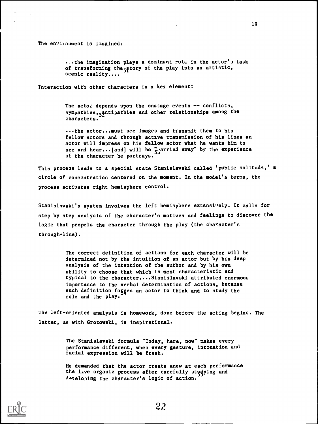The environment is imagined:

 $\sim$ 

...the imagination plays a dominant role in the actor's task of transforming the  $5$ ftory of the play into an artistic, scenic reality....

Interaction with other characters is a key element:

The actor depends upon the onstage events  $-$  conflicts, sympathies, antipathies and other relationships among the characters.

...the actor...must see images and transmit them to his fellow actors and through active transmission of his lines an actor will impress on his fellow actor what he wants him to see and hear...[and] will be 5. arried away" by the experience<br>of the character he controls of the character he portrays.

This process leads to a special state Stanislayski called 'public solitude,' a circle of concentration centered on the moment. In the model's terms, the process activates right hemisphere control.

Stanislavski's system involves the left hemisphere extensively. It calls for step by step analysis of the character's motives and feelings to discover the logic that propels the character through the play (the character's through-line).

> The correct definition of actions for each character will be determined not by the intuition of an actor but by his deep analysis of the intention of the author and by his own ability to choose that which is most characteristic and typical to the character....Stanislayski attributed enormous importance to the verbal determination of actions, because such definition forges an actor to think and to study the role and the play.

The left-oriented analysis is homework, done before the acting begins. The latter, as with Grotowski, is inspirational.

> The Stanislayski formula "Today, here, now" makes every performance different, when every gesture, intonation and facial expression will be fresh.

He demanded that the actor create anew at each performance the live organic process after carefully studying and developing the character's logic of action.

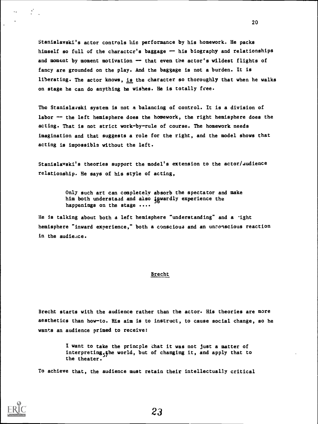Stanislayski's actor controls hie performance by his homework. He packs himself so full of the charactcr's baggage -- his biography and relationships and moment by moment motivation -- that even the actor's wildest flights of fancy are grounded on the play. And the baggage is not a burden. It is liberating. The actor knows, is the character so thoroughly that when he walks on stage he can do anything he wishes. He is totally free.

20

The Stanislayski system is not a balancing of control. It is a division of labor -- the left hemisphere does the homework, the right hemisphere does the acting. That is not strict work-by-rule of course. The homework needs imagination and that suggests a role for the right, and the model shows that acting is impossible without the left.

Stanislayski's theories support the model's extension to the actor/audience relationship. He says of his style of acting,

> Only such art can completely absorb the spectator and make him both understand and also igwardly experience the happenings on the stage ....

He is talking about both a left hemisphere "understanding" and a -ight hemisphere "inward experience," both a conscious and an unconscious reaction in the audience.

#### Brecht

Brecht starts with the audience rather than the actor. His theories are more aesthetics than how-to. His aim is to instruct, to cause social change, so he wants an audience primed to receive:

> I want to take the princple that it was not just a matter of interpreting<sub>c</sub>the world, but of changing it, and apply that to the theater.

To achieve that, the audience must retain their intellectually critical



 $\ddotsc$ 

 $\mathcal{L}^{\text{max}}$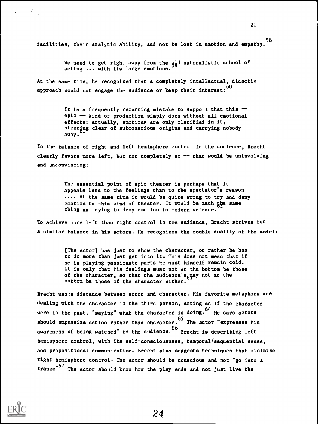facilities, their analytic ability, and not be lost in emotion and empathy. 58

> We need to get right away from the  $q_d$ d naturalistic school of acting ... with its large emotions.

At the same time, he recognized that a completely intellectual, didactic approach would not engage the audience or keep their interest:  $^{60}$ 

> It is a frequently recurring mistake to suppo  $\frac{1}{2}$  that this -epic -- kind of production simply does without all emotional effects: actually, emotions are only clarified in it, steering clear of subconscious origins and carrying nobody away.

In the balance of right and left hemisphere control in the audience, Brecht clearly favors more left, but not completely so  $-$  that would be uninvolving and unconvincing:

> The essential point of epic theater is perhaps that it appeals less to the feelings than to the spectator's reason .... At the same time it would be quite wrong to try and deny emotion to this kind of theater. It would be much the same thing as trying to deny emotion to modern science.

To achieve more left than right control in the audience, Brecht strives for a similar balance in his actors. He recognizes the double duality of the model:

> [The actor] has just to show the character, or rather he has to do more than just get into it. This does not mean that if he is playing passionate parts he must himself remain cold. It is only that his feelings must not at the bottom be those of the character, so that the audience's<sub>6</sub>qay not at the bottom be those of the character either.

Brecht wan is distance between actor and character. His favorite metaphors are dealing with the character in the third person, acting as if the character were in the past, "saying" what the character is doing.  $^{64}$  He says actors should empnasize action rather than character. <sup>65</sup> The actor "expresses his awareness of being watched" by the audience.<sup>66</sup> Brecht is describing left hemisphere control, with its self-consciousness, temporal/sequential sense, and propositional communication. Brecht also suggests techniques that minimize right hemisphere control. The actor should be conscious and not "go into a trance"<sup>67</sup> The actor should know how the play ends and not just live the



 $\ddotsc$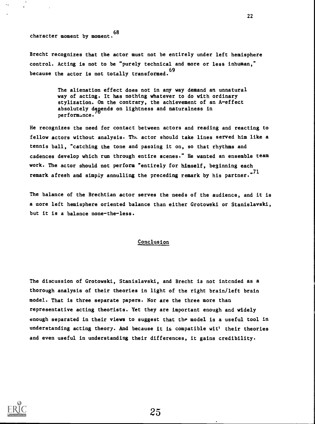character moment by moment, 68

Brecht recognizes that the actor must not be entirely under left hemisphere control. Acting is not to be "purely technical and more or less inhuman," because the actor is not totally transformed.<sup>69</sup>

> The alienation effect does not in any way demand an unnatural way of acting. It has nothing whatever to do with ordinary stylization. On the contrary, the achievement of an A-effect absolutely degends on lightness and naturalness in performance.

He recognizes the need for contact between actors and reading and reacting to fellow actors without analysis. The actor should take lines served him like a tennis ball, "catching the tone and passing it on, so that rhythms and cadences develop which run through entire scenes." He wanted an ensemble team work. The actor should not perform "entirely for himself, beginning each remark afresh and simply annulling the preceding remark by his partner."<sup>71</sup>

The balance of the Brechtian actor serves the needs of the audience, and it is a more left hemisphere oriented balance than either Grotowski or Stanislayski, but it is a balance none-the-less.

### Conclusion

The discussion of Grotowski, Stanislayski, and Brecht is not intcnded as a thorough analysis of their theories in light of the right brain/left brain model. That is three separate papers. Nor are the three more than representative acting theorists. Yet they are important enough and widely enough separated in their views to suggest that the model is a useful tool in understanding acting theory. And because it is compatible wit' their theories and even useful in understanding their differences, it gains credibility.

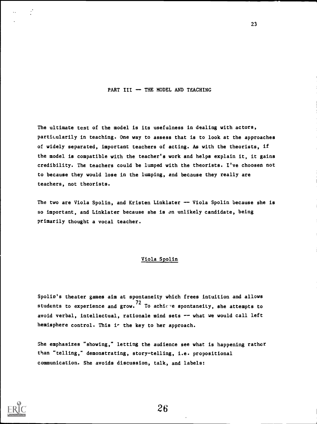## PART III  $-$  THE MODEL AND TEACHING

The ultimate test of the model is its usefulness in dealing with actors, particularily in teaching. One way to assess that is to look at the approaches of widely separated, important teachers of acting. As with the theorists, if the model is compatible with the teacher's work and helps explain it, it gains credibility. The teachers could be lumped with the theorists. I've choosen not to because they would lose in the lumping, and because they really are teachers, not theorists.

The two are Viola Spolin, and Kristen Linklater -- Viola Spolin because she is so important, and Linklater because she is an unlikely candidate, being primarily thought a vocal teacher.

# Viola Spolin

Spolin's theater games aim at spontaneity which frees intuition and allows students to experience and grow.<sup>72</sup> To achiere spontaneity, she attempts to avoid verbal, intellectual, rationale mind sets -- what we would call left hemisphere control. This is the key to her approach.

She emphasizes "showing," letting the audience see what is happening rather than "telling," demonstrating, story-telling, i.e. propositional communication. She avoids discussion, talk, and labels:

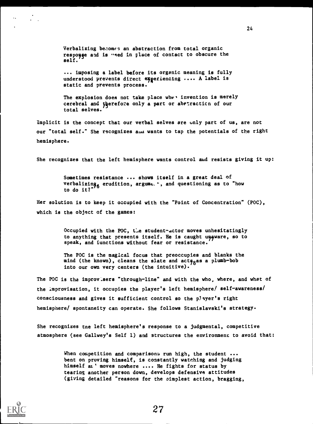Verbalizing becomes an abstraction from total organic responge and is weed in place of contact to obscure the self.

... imposing a label before its organic meaning is fully understood prevents direct experiencing .... A label is static and prevents process.

The explosion does not take place whet invention is merely cerebral and yprefoze only a part or abrtracticn of our total selves.

Implicit is the concept that our verbal selves are unly part of us, are not our "total self." She recognizes aua wants to tap the potentials of the right hemisphere.

She recognizes that the left hemisphere wants control and resists giving it up:

Sometimes resistance ... shows itself in a great deal of verbalizing<sub>a</sub> erudition, argume.', and questioning as to "how to do it?" $\frac{1}{2}$ 

Her solution is to keep it occupied with the "Point of Concentration" (POC), which is the object of the games:

> Occupied with the POC, the student-actor moves unhesitatingly to anything that presents itself. He is caught unaware, so to speak, and functions without fear or resistance.

The POC is the magical focus that preoccupies and blanks the mind (the known), cleans the slate and acts as a plumb-bob into our own very centers (the intuitive).

The POC is the improvisers "through-line" and with the who, where, and what of the improvisation, it occupies the player's left hemisphere/ self-awareness/ consciousness and gives it sufficient control so the player's right hemisphere/ spontaneity can operate. She follows Stanislayski's strategy.

She recognizes tne left hemisphere's response to a judgmental, competitive atmosphere (see Gallwey's Self 1) and structures the environment to avoid that:

> When competition and comparisons run high, the student ... bent on proving himself, is constantly watching and judging himself at ' moves nowhere .... He fights for status by tearing another person down, develops defensive attitudes (giving detailed "reasons for the oimplest action, bragging,

 $\alpha_{\rm{max}}=2.5$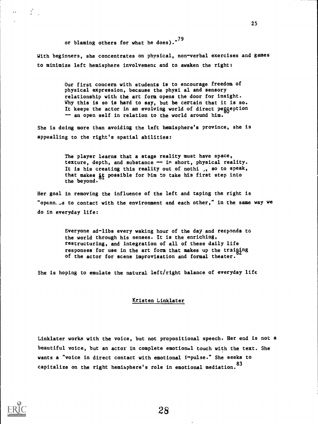or blaming others for what he does)."<sup>79</sup>

With beginners, she concentrates on physical, non-verbal exercises and games to minimize left hemisphere involvement and to awaken the right:

> Our first concern with students is to encourage freedom of physical expression, because the physi al and sensory relationship with the art form opens the door for insight. Why this is so is hard to say, but be certain that it is so. It keeps the actor in an evolving world of direct peggeption -- an open self in relation to the world around him.

She is doing more than avoiding the left hemisphere's province, she is appealling to the right's spatial abilities:

> The player learns that a stage reality must have space, texture, depth, and substance -- in short, physical reality. It is his creating this reality out of nothi  $\,$ , so to speak, that makes it possible for him to take his first step into the beyond.

Her goal in removing the influence of the left and taping the right is "openness to contact with the environment and each other," in the same way we do in everyday life:

> Everyone ad-libs every waking hour of the day and responds tc the world through his senses. It is the enriching, restructuring, and integration of all of these daily life responses for use in the art form that makes up the traiging of the actor for scene improvisation and formal theater.

She is hoping to emulate the natural left/right balance of everyday life

## Kristen Linklater

Linklater works with the voice, but not propositional speech. Her end is not a beautiful voice, but an actor in complete emotional touch with the text. She wants a "voice in direct contact with emotional impulse." She seeks to capitalize on the right hemisphere's role in emotional mediation. 83



 $\mathbb{R}^2$ 

 $\mathbf{a}$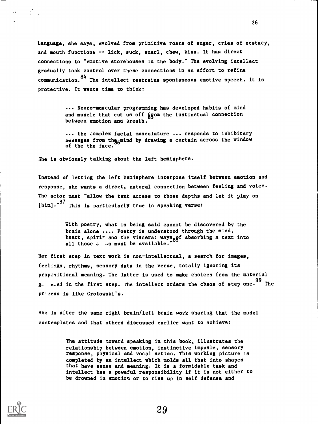Language, she says, evolved from primitive roars of anger, cries of ecstacy, and mouth functions -- lick, suck, snarl, chew, kiss. It has direct connections to "emotive storehouses in the body." The evolving intellect gradually took control over these connections in an effort to refine communication.<sup>84</sup> The intellect restrains spontaneous emotive speech. It is protective. It wants time to think:

> ... Neuro-muscular programming has developed habits of mind and muscle that cut us off from the instinctual connection between emotion and breath.

... the complex facial musculature ... responds to inhibitary messages from the anind by drawing a curtain across the window of the the face.

She is obviously talking about the left hemisphere.

Instead of letting the left hemisphere interpose itself between emotion and response, she wants a direct, natural connection between feeling and voice. The actor must "allow the text access to those depths and let it  $\mu$ lay on [him]."<sup>87</sup> This is particularly true in speaking verse:

> With poetry, what is being said cannot be discovered by the brain alone .... Poetry is understood through the mind, heart, spirit and the viscera: ways gef absorbing a text into all those a as must be available.

Her first step in text work is non-intellectual, a search for images, feelings, rhythms, sensory data in the verse, totally ignoring its propositional meaning. The latter is used to make choices from the material g. c.ed in the first step. The intellect orders the chaos of step one. The process is like Grotowski's.

She is after the same right brain/left brain work sharing that the model contemplates and that others discussed earlier want to achieve:

> The attitude toward speaking in this book, illustrates the relationship between emotion, instinctive impusle, sensory response, physical and vocal action. This working picture is completed by an intellect which molds all that into shapes that have sense and meaning. It is a formidable task and intellect has a poweful responsibility if it is not either to be drowned in emotion or to rise up in self defense and





 $\ddot{\phantom{a}}$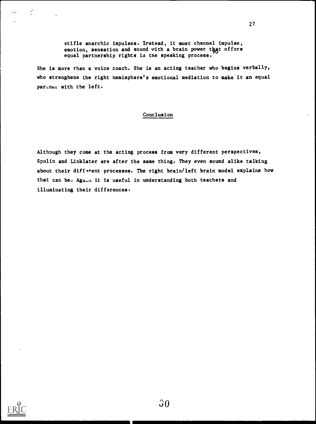stifle anarchic impulses. Irstead, it must channel impulse, emotion, sensation and sound with a brain power that offers equal partnership rights in the speaking process.

She is more than a voice coach. She is an acting teacher who begins verbally, who strenghens the right hemisphere's emotional mediation to make it an equal partner with the left.

# Conclusion

Although they come at the acting process from very different perspectives, Spolin and Linklater are after the same thing. They even sound alike talking about their different processes. The right brain/left brain model explains how that can be. Aga\_a it is useful in understanding both teachers and illuminating their differences.



 $\cdot$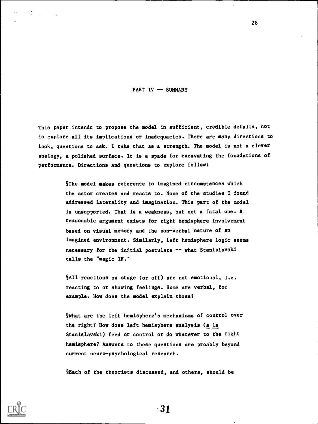PART IV - SUMMARY

This paper intends to propose the model in sufficient, credible details, not to explore all its implications or inadequacies. There are many directions to look, questions to ask. I take that as a strength. The model is not a clever analogy, a polished surface. It is a spade for excavating the foundations of performance. Directions and questions to explore follow:

> §The model makes reference to imagined circumstances which the actor creates and reacts to. None of the studies I found addressed laterality and imagination. This part of the model is unsupported. That is a weakness, but not a fatal one. A reasonable argument exists for right hemisphere involvement based on visual memory and the non-verbal nature of an imagined environment. Similarly, left hemisphere logic seems necessary for the initial postulate -- what Stanislavski calls the "magic IF."

SAll reactions on stage (or off) are not emotional, i.e. reacting to or showing feelings. Some are verbal, for example. How does the model explain those?

What are the left hemisphere's mechanisms of control over the right? How does left hemisphere analysis (a la Stanislayski) feed or control or do whatever to the right hemisphere? Answers to these questions are proably beyond current neuro-psychological research.

SEach of the theorists discussed, and others, should be



31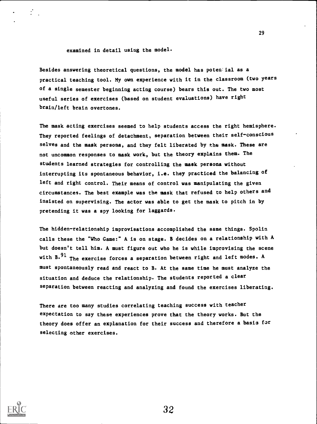examined in detail using the model.

Besides answering theoretical questions, the model has potential as a practical teaching tool. My own experience with it in the classroom (two years of a single semester beginning acting course) bears this out. The two most useful series of exercises (based on student evaluations) have right brain/left brain overtones.

The mask acting exercises seemed to help students access the right hemisphere. They reported feelings of detachment, separation between their self-conscious selves and the mask persona, and they felt liberated by the mask. These are not uncommon responses to mask work, but the theory explains them. The students learned strategies for controlling the mask persona without interrupting its spontaneous behavior, i.e. they practiced the balancing of left and right control. Their means of control was manipulating the given circumstances. The best example was the mask that refused to help others and insisted on supervising. The actor was able to get the mask to pitch in by pretending it was a spy looking for laggards.

The hidden-relationship improvisations accomplished the same things. Spolin calls these the "Who Game:" A is on stage. B decides on a relationship with A but doesn't tell him. A must figure out who he is while improvising the scene with  $B^{91}$  The exercise forces a separation between right and left modes. A must spontaneously read and react to B. At the same time he must analyze the situation and deduce the relationship. The students reported a clear separation between reacting and analyzing and found the exercises liberating.

There are too many studies correlating teaching success with teacher expectation to say these experiences prove that the theory works. But the theory does offer an explanation for their success and therefore a basis for selecting other exercises.

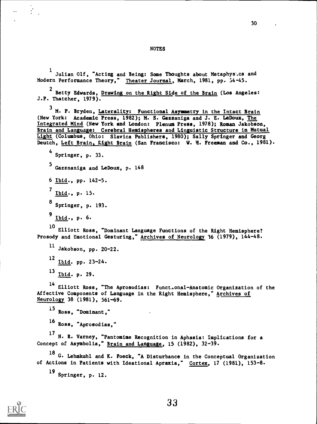<sup>1</sup> Julian Olf, "Acting and Being: Some Thoughts about Metaphys.cs and Modern Performance Theory," Theater Journal, March, 1981, pp. 54-45.

<sup>2</sup> Betty Edwards, Drawing on the Right Side of the Brain (Los Angeles: J.P. Thatcher, 1979).

<sup>3</sup> M. P. Bryden, Laterality: Functional Asymmetry in the Intact Brain (New York: Academic Press, 1982); M. S. Gazzaniga and J. E. LeDoux, The Integrated Mind (New York and London: Plenum Press, 1978); Roman Jakobson, Brain and Language: Cerebral Hemispheres and Linguistic Structure in Mutual Light (Columbus, Ohio: Slavica Publishers, 1980); Sally Springer and Georg Deutch, Left Brain, Right Brain (San Francisco: W. H. Freeman and Co., 1981).

4 Springer, p. 33.

 $\frac{1}{2}$ 

<sup>5</sup> Gazznaniga and LeDoux, p. 148

6 Ibid., pp. 142-5.

<sup>7</sup> Ibid., p. 15.

8 Springer, p. 193.

<sup>9</sup> Ibid., p. 6.

<sup>10</sup> Elliott Ross, "Dominant Language Functions of the Right Hemisphere? Prosody and Emotional Gesturing," Archives of Neurology 36 (1979), 144-48.

11 Jakobson, pp. 20-22.  $^{12}$  Ibid. pp. 23-24. <sup>13</sup> Ibid. p. 29.

<sup>14</sup> Elliott Ross, "The Aprosodias: Funct.onal-Anatomic Organization of the Affective Components of Language in the Right Hemisphere," Archives of Neurology 38 (1981), 561-69.

<sup>15</sup> Ross, "Dominant," <sup>16</sup> Ross, "Aprosodias,"

<sup>17</sup> N. R. Varney, "Pantomime Recognition in Aphasia: Implications for a Concept of Asymbolia," Brain and Language, 15 (1982), 32-39.

18 G. Lehmkuhl and K. Poeck, "A Disturbance in the Conceptual Organization of Actions in Patients with Ideational Apraxia," Cortex, 17 (1981), 153-8.

19 Springer, p. 12.

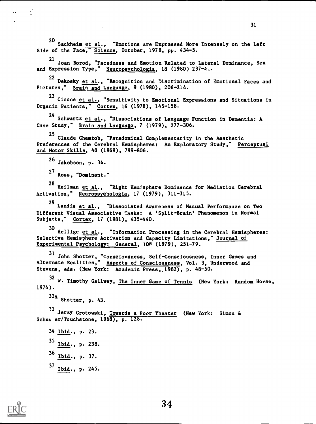<sup>20</sup> Sackheim et al., "Emotions are Expressed More Intensely on the Left Side of the Face," Science, October, 1978, pp. 434-5.

<sup>21</sup> Joan Borod, "Facedness and Emotion Related to Lateral Dominance, Sex and Expression Type," Neuropsychologia, 18 (1980) 237-4..

<sup>22</sup> Dekosky et al., "Recognition and Discrimination of Emotional Faces and Pictures," Brain and Language, 9 (1980), 206-214.

<sup>23</sup> Cicone <u>et al.</u>, "Sensitivity to Emotional Expressions and Situations in Organic Patients," Cortex, 16 (1978), 145-158.

<sup>24</sup> Schwartz et al., "Dissociations of Language Function in Dementia: A Case Study," Brain and Language, 7 (1979), 277-306.

25 Claude Chemtob, "Paradoxical Complementarity in the Aesthetic Preferences of the Cerebral Hemispheres: An Exploratory Study," Perceptual and Motor Skills, 48 (1969), 799-806.

<sup>26</sup> Jakobson, p. 34.

 $\mathcal{L}_{\mathcal{L}}$ 

 $\ddot{\phantom{a}}$ 

<sup>27</sup> Ross, "Dominant."

<sup>28</sup> Heilman et al., "Right Hemisphere Dominance for Mediation Cerebral Activation," Neuropsychologia, 17 (1979), 311-315.

<sup>29</sup> Landis et al., "Dissociated Awareness of Manual Perforwance on Two Different Visual Associative Tasks: A 'Split-Brain' Phenomenon in Normal Subjects," Cortex, 17 (1981), 435-440.

<sup>30</sup> Hellige et al., "Information Processing in the Cerebral Hemispheres: Selective Hemisphere Activation and Capacity Limitations," Journal of Experimental Psychology: General, 108 (1979), 251-79.

31 John Shotter, "Consciousness, Self-Consciousness, Inner Games and Alternate Realities," Aspects of Consciousness, Vol. 3, Underwood and Stevens, eds. (New York: Academic Press, 1982), p. 48-50.

<sup>32</sup> W. Timothy Gallwey, The Inner Game of Tennis (New York: Random House, 1974).

32A Shotter, p. 43.

<sup>33</sup> Jerzy Grotowski, <u>Towards a Poor Theater</u> (New York: Simon & Schur er/Touchstone, 1968), p. 128.

34 Ibid., p. 23.  $35$  Ibid., p. 238.  $36$  Ibid., p. 37.  $^{37}$  Ibid., p. 245.

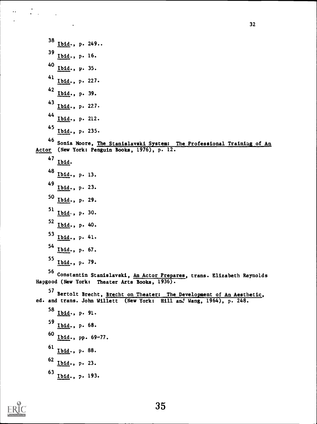Ibid., p. 249.. Ibid., p. 16. 40 <u>Ibid</u>., p. 35. Ibid., p. 227. <u>Ibid</u>., p. 39. Ibid., p. 227. 44 <u>Ibid</u>., p. 212. 45<br>Ibid., p. 235. Sonia Moore, The Stanislayski System: The Professional Trainiag of An Actor (New York: Penguin Books, 1976), p. 12. Ibid. Ibid., p. 13. Ibid., p. 23. Ibid., p. 29. 51 Ibid., p. 30. Ibid., p. 40. Ibid., p. 41. Ibid., p. 67. <sup>55</sup> I<u>bid</u>., p. 79. <sup>56</sup> Constantin Stanislavski, <u>An Actor Prepares</u>, trans. Elizabeth Reynolds Hapgood (New York: Theater Arts Books, 1936). <sup>57</sup> Bertolt Brecht, Brecht on Theater: The Development of An Aesthetic, ed. and trans. John Willett (New York: Hill anJ Wang, 1964), p. 248. Ibid., p. 91. Ibid., p. 68. Ibid., pp. 69-77.  $^{61}$  <u>Ibid</u>., p. 88. Ibid., p. 23.



 $\frac{1}{2}$ 

Ibid., p. 193.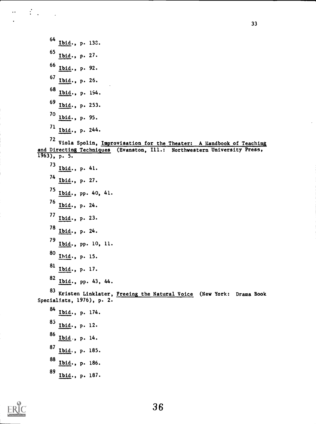<sup>64</sup> Ibid., p. 138. 65 Ibid., p. 27. <sup>66</sup> Ibid., p. 92. <sup>67</sup> Ibid., p. 26. <sup>68</sup> Ibid., p. 194. <sup>69</sup> Ibid., p. 253.  $^{70}$  <u>Ibid</u>., p. 95.  $\frac{71}{1}$  Ibid., p. 244. <sup>72</sup> Viola Spolin, Improvisation for the Theater: A Handbook of Teaching and Directing Techniques (Evanston, Ill.: Northwestern University Press, 1963), p. 5.  $^{73}$  Ibid., p. 41. <sup>74</sup> Ibid., p. 27. <sup>75</sup> Ibid., pp. 40, 41. 76 Ibid., p. 24.  $\frac{7}{1}$  Ibid., p. 23.  $^{78}$  Ibid., p. 24. <sup>79</sup> Ibid., pp. 10, 11. 80 <u>Ibid</u>., p. 15.  $^{81}$  Ibid., p. 17.  $^{82}$  Ibid., pp. 43, 44. <sup>83</sup> Kristen Linklater, <u>Freeing the Natural Voice</u> (New York: Drama Book Specialists, 1976), p. 2. <sup>84</sup> Ibid., p. 174. 85<br>Ibid., p. 12.  $\frac{161}{16}$ , p. 14.  $^{87}$  Ibid., p. 185. <sup>88</sup> Ibid., p. 186.

33

89<br>Ib<u>id</u>., p. 187.



 $\mathcal{L}_{\mathcal{A}}$ 

 $\ddot{\phantom{a}}$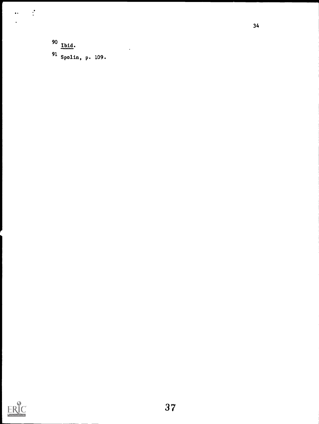90 Ibid. <sup>91</sup> Spolin, p. 109.

 $\ddot{\phantom{a}}$ 

 $\mathbb{R}^2$ 

 $\ddot{\phantom{1}}$  $\ddot{\phantom{0}}$ 

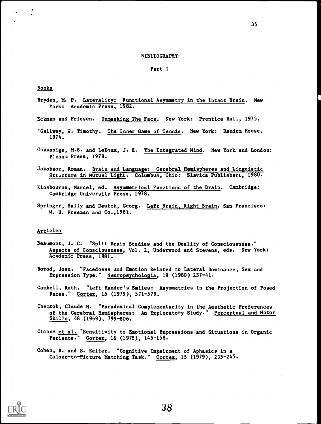#### BIBLIOGRAPHY

#### Part I

#### Books

 $\mathcal{L}$ 

 $\ddot{\phantom{a}}$ 

- Bryden, M. P. Laterality: Functional Asymmetry in the Intact Brain. New York: Academic Press, 1982.
- Eckman and Friesen. Unmasking The Face. New York: Prentice Hall, 1975.
- 'Gallwey, W. Timothy. The Inner Game of Tennis. New York: Random House, 1974.
- Gazzaniga, M.S. and LeDoux, J. E. The Integrated Mind. New York and London: Plenum Press, 1978.
- Jakobsor, Roman. Brain and Language: Cerebral Hemispheres and Linguistic Structure in Mutual Light. Columbus, Ohio: Slavica Publishera, 1980.
- Kinsbourne, Marcel, ed. Asymmetrical Functions of the Brain. Cambridge: Cambridge University Press, 1978.
- Springer, Sally and Deutch, Georg. Left Brain, Right Brain. San Francisco: W. H. Freeman and Co.,1981.

#### Articles

- Beaumont, J. G. "Split Brain Studies and the Duality of Consciousness." Aspects of Consciousness, Vol. 2, Underwood and Stevens, eds. New York: Academic Press, 1981.
- Borod, Joan. "Facedness and Emotion Related to Lateral Dominance, Sex and Expression Type." Neuropsychologia, 18 (1980) 237-41.
- Cambell, Ruth. "Left Hander's Smiles: Asymmetries in the Projection of Posed Faces." Cortex, 15 (1979), 571-579.
- Chemtob, Claude M. "Paradoxical Complementarity in the Aesthetic Preferences of the Cerebral Hemispheres: An Exploratory Study." Perceptual and Motor Skills, 48 (1969), 799-806.
- Cicone et al. "Sensitivity to Emotional Expressions and Situations in Organic Patients." Cortex, 16 (1978), 145-158.
- Cohen, R. and S. Kelter. "Cognitive Impairment of Aphasics in a Colour-to-Picture Matching Task." Cortex, 15 (1979), 235-245.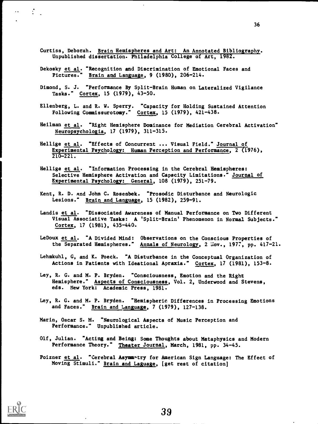- Curtiss, Deborah. Brain Hemispheres and Art: An Annotated Bibliography. Unpublished dissertation. Philadelphia College of Art, 1982.
- Dekosky et al. "Recognition and Discrimination of Emotional Faces and Pictures." Brain and Language, 9 (1980), 206-214.
- Dimond, S. J. "Performance By Split-Brain Human on Lateralized Vigilance Tasks." Cortex, 15 (1979), 43-50.
- Ellenberg, L. and R. W. Sperry. "Capacity for Holding Sustained Attention Following Commissurotamy." Cortex, 15 (1979), 421-438.
- Heilman et al. "Right Hemisphere Dominance for Mediation Cerebral Activation" Neuropsychologia, 17 (1979), 311-315.
- Hellige et al. "Effects of Concurrent ... Visual Field." Journal of Experimental Psychology: Human Perception and Performance, 2 (1976), 210-221.
- Hellige et al. "Information Processing in the Cerebral Hemispheres: Selective Hemisphere Activation and Capacity Limitations." Journal of Experimental Psychology: General, 108 (1979), 251-79.
- Kent, R. D. And John C. Rosenbek. "Prosodic Disturbance and Neurologic Lesions." Brain and Language, 15 (1982), 259-91.
- Landis et al. "Dissociated Awareness of Manual Performance on Two Different Visual Associative Tasks: A 'Split-Brain' Phenomenon in Normal Subjects." Cortex, 17 (1981), 435-440.
- LeDoux et al. "A Divided Mind: Observations on the Conscious Properties of the Separated Hemispheres." Annals of Neurology, 2 Hov., 1977, pp. 417-21.
- Lehmkuhl, G, and K. Poeck. "A Disturbance in the Conceptual Organization of Actions in Patients with Ideational Apraxia." Cortex, 17 (1981), 153-8.
- Ley, R. G. and M. P. Bryden. "Consciousness, Emotion and the Right Hemisphere." Aspects of Consciousness, Vol. 2, Underwood and Stevens, eds. New York: Academic Press, 1981.
- Ley, R. G. and M. P. Bryden. "Hemispheric Differences in Processing Emotions and Faces." Brain and Language, 7 (1979), 127-138.
- Marin, Oscar S. M. "Neurological Aspects of Music Perception and Performance." Unpublished article.
- Olf, Julian. "Acting and Being: Some Thoughts about Metaphysics and Modern Performance Theory." Theater Journal, March, 1981, pp. 34-45.
- Poizner et al. "Cerebral Asymmatry for American Sign Language: The Effect of Moving Stimuli." Brain and Laguage, [get rest of citation]



 $\mathcal{L}_{\text{max}}$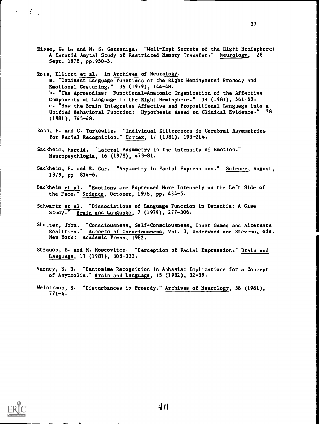- Risse, G. L. and M. S. Gazzaniga. "Well-Kept Secrets of the Right Hemisphere: A Carotid Amytal Study of Restricted Memory Transfer." Neurology, 28 Sept. 1978, pp.950-3.
- Ross, Elliott et al. in Archives of Neurology: a. "Dominant Language Functions of the Right Hemisphere? Prosody and Emotional Gesturing." 36 (1979), 144-48. b. "The Aprosodias: Functional-Anatomic Organization of the Affective Components of Language in the Right Hemisphere." 38 (1981), 561-69. c. "How the Brain Integrates Affective and Propositional Language into a Unified Behavioral Function: Hypothesis Based on Clinical Evidence." 38 (1981), 745-48.
- Ross, P. and G. Turkewitz. "Individual Differences in Cerebral Asymmetries for Factal Recognition." Cortex, 17 (1981). 199-214.
- Sackheim, Harold. "Lateral Asymmetry in the Intensity of Emotion." Neuropsychlogia, 16 (1978), 473-81.
- Sackheim, H. and R. Gur. "Asymmetry in Facial Expressions." Science, August, 1979, pp. 834-6.
- Sackheim et al. "Emotions are Expressed More Intensely on the Left Side of the Face." Science, October, 1978, pp. 434-5.
- Schwartz et al. "Dissociations of Language Function in Dementia: A Case Study." Brain and Language, 7 (1979), 277-306.
- Shotter, John. "Consciousness, Self-Consciousness, Inner Games and Alternate Realities." Aspects of Consciousness, Vol. 3, Underwood and Stevens, eds. New York: Academic Press, 1982.
- Strauss, E. and M. Moscovitch. "Perception of Facial Expression." Brain and Language, 13 (1981), 308-332.
- Varney, N. R. "Pantomime Recognition in Aphasia: Implications for a Concept of Asymbolia." Brain and Language, 15 (1982), 32-39.
- Weintraub, S. "Disturbances in Prosody." Archives of Neurology, 38 (1981), 771-4.



 $\overline{\phantom{a}}$  .

 $\mathcal{L}^{\text{max}}$ 

40